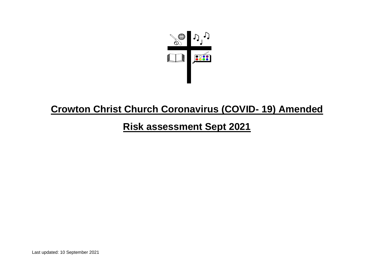

## **Crowton Christ Church Coronavirus (COVID- 19) Amended**

## **Risk assessment Sept 2021**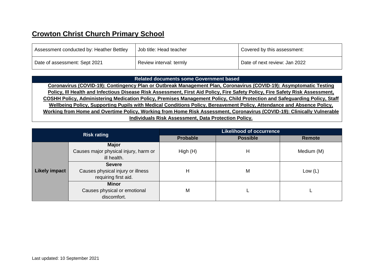## **Crowton Christ Church Primary School**

| Assessment conducted by: Heather Bettley | <sup>1</sup> Job title: Head teacher | Covered by this assessment:   |
|------------------------------------------|--------------------------------------|-------------------------------|
| Date of assessment: Sept 2021            | Review interval: termly              | Date of next review: Jan 2022 |

## **Related documents some Government based**

**Coronavirus (COVID-19): Contingency Plan or Outbreak Management Plan, Coronavirus (COVID-19): Asymptomatic Testing Policy, Ill Health and Infectious Disease Risk Assessment, First Aid Policy, Fire Safety Policy, Fire Safety Risk Assessment, COSHH Policy, Administering Medication Policy, Premises Management Policy, Child Protection and Safeguarding Policy, Staff Wellbeing Policy, Supporting Pupils with Medical Conditions Policy, Bereavement Policy, Attendance and Absence Policy, Working from Home and Overtime Policy, Working from Home Risk Assessment, Coronavirus (COVID-19): Clinically Vulnerable Individuals Risk Assessment, Data Protection Policy.**

|                      | <b>Risk rating</b>                    | <b>Likelihood of occurrence</b> |                 |            |  |  |  |
|----------------------|---------------------------------------|---------------------------------|-----------------|------------|--|--|--|
|                      |                                       | <b>Probable</b>                 | <b>Possible</b> | Remote     |  |  |  |
|                      | <b>Major</b>                          |                                 |                 |            |  |  |  |
|                      | Causes major physical injury, harm or | High(H)                         | н               | Medium (M) |  |  |  |
|                      | ill health.                           |                                 |                 |            |  |  |  |
|                      | <b>Severe</b>                         |                                 |                 |            |  |  |  |
| <b>Likely impact</b> | Causes physical injury or illness     | Η                               | M               | Low $(L)$  |  |  |  |
|                      | requiring first aid.                  |                                 |                 |            |  |  |  |
|                      | <b>Minor</b>                          |                                 |                 |            |  |  |  |
|                      | Causes physical or emotional          | M                               |                 |            |  |  |  |
|                      | discomfort.                           |                                 |                 |            |  |  |  |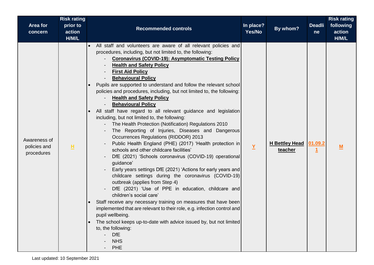| Area for<br>concern                        | <b>Risk rating</b><br>prior to<br>action<br>H/M/L | <b>Recommended controls</b>                                                                                                                                                                                                                                                                                                                                                                                                                                                                                                                                                                                                                                                                                                                                                                                                                                                                                                                                                                                                                                                                                                                                                                                                                                                                                                                                                                                                                                                                                                                                                | In place?<br>Yes/No | By whom?                         | <b>Deadli</b><br>ne | <b>Risk rating</b><br>following<br>action<br>H/M/L |
|--------------------------------------------|---------------------------------------------------|----------------------------------------------------------------------------------------------------------------------------------------------------------------------------------------------------------------------------------------------------------------------------------------------------------------------------------------------------------------------------------------------------------------------------------------------------------------------------------------------------------------------------------------------------------------------------------------------------------------------------------------------------------------------------------------------------------------------------------------------------------------------------------------------------------------------------------------------------------------------------------------------------------------------------------------------------------------------------------------------------------------------------------------------------------------------------------------------------------------------------------------------------------------------------------------------------------------------------------------------------------------------------------------------------------------------------------------------------------------------------------------------------------------------------------------------------------------------------------------------------------------------------------------------------------------------------|---------------------|----------------------------------|---------------------|----------------------------------------------------|
| Awareness of<br>policies and<br>procedures | 且                                                 | All staff and volunteers are aware of all relevant policies and<br>$\bullet$<br>procedures, including, but not limited to, the following:<br><b>Coronavirus (COVID-19): Asymptomatic Testing Policy</b><br><b>Health and Safety Policy</b><br><b>First Aid Policy</b><br><b>Behavioural Policy</b><br>Pupils are supported to understand and follow the relevant school<br>$\bullet$<br>policies and procedures, including, but not limited to, the following:<br><b>Health and Safety Policy</b><br><b>Behavioural Policy</b><br>All staff have regard to all relevant guidance and legislation<br>including, but not limited to, the following:<br>The Health Protection (Notification) Regulations 2010<br>The Reporting of Injuries, Diseases and Dangerous<br><b>Occurrences Regulations (RIDDOR) 2013</b><br>Public Health England (PHE) (2017) 'Health protection in<br>schools and other childcare facilities'<br>DfE (2021) 'Schools coronavirus (COVID-19) operational<br>guidance'<br>Early years settings DfE (2021) 'Actions for early years and<br>childcare settings during the coronavirus (COVID-19)<br>outbreak (applies from Step 4)<br>DfE (2021) 'Use of PPE in education, childcare and<br>children's social care'<br>Staff receive any necessary training on measures that have been<br>$\bullet$<br>implemented that are relevant to their role, e.g. infection control and<br>pupil wellbeing.<br>The school keeps up-to-date with advice issued by, but not limited<br>$\bullet$<br>to, the following:<br><b>DfE</b><br><b>NHS</b><br><b>PHE</b> | $\underline{Y}$     | <b>H Bettley Head</b><br>teacher | 01.09.2             | M                                                  |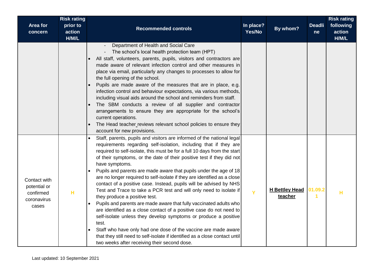| Area for<br>concern                                               | <b>Risk rating</b><br>prior to<br>action<br>H/M/L | <b>Recommended controls</b>                                                                                                                                                                                                                                                                                                                                                                                                                                                                                                                                                                                                                                                                                                                                                                                                                                                                                                                                                                                                                                                                          | In place?<br>Yes/No | By whom?                         | <b>Deadli</b><br>ne | <b>Risk rating</b><br>following<br>action<br>H/M/L |
|-------------------------------------------------------------------|---------------------------------------------------|------------------------------------------------------------------------------------------------------------------------------------------------------------------------------------------------------------------------------------------------------------------------------------------------------------------------------------------------------------------------------------------------------------------------------------------------------------------------------------------------------------------------------------------------------------------------------------------------------------------------------------------------------------------------------------------------------------------------------------------------------------------------------------------------------------------------------------------------------------------------------------------------------------------------------------------------------------------------------------------------------------------------------------------------------------------------------------------------------|---------------------|----------------------------------|---------------------|----------------------------------------------------|
|                                                                   |                                                   | Department of Health and Social Care<br>The school's local health protection team (HPT)<br>All staff, volunteers, parents, pupils, visitors and contractors are<br>made aware of relevant infection control and other measures in<br>place via email, particularly any changes to processes to allow for<br>the full opening of the school.<br>Pupils are made aware of the measures that are in place, e.g.<br>infection control and behaviour expectations, via various methods,<br>including visual aids around the school and reminders from staff.<br>The SBM conducts a review of all supplier and contractor<br>arrangements to ensure they are appropriate for the school's<br>current operations.<br>The Head teacher reviews relevant school policies to ensure they<br>$\bullet$<br>account for new provisions.                                                                                                                                                                                                                                                                           |                     |                                  |                     |                                                    |
| Contact with<br>potential or<br>confirmed<br>coronavirus<br>cases | н                                                 | Staff, parents, pupils and visitors are informed of the national legal<br>requirements regarding self-isolation, including that if they are<br>required to self-isolate, this must be for a full 10 days from the start<br>of their symptoms, or the date of their positive test if they did not<br>have symptoms.<br>Pupils and parents are made aware that pupils under the age of 18<br>$\bullet$<br>are no longer required to self-isolate if they are identified as a close<br>contact of a positive case. Instead, pupils will be advised by NHS<br>Test and Trace to take a PCR test and will only need to isolate if<br>they produce a positive test.<br>Pupils and parents are made aware that fully vaccinated adults who<br>are identified as a close contact of a positive case do not need to<br>self-isolate unless they develop symptoms or produce a positive<br>test.<br>Staff who have only had one dose of the vaccine are made aware<br>$\bullet$<br>that they still need to self-isolate if identified as a close contact until<br>two weeks after receiving their second dose. | Ÿ                   | <b>H Bettley Head</b><br>teacher | 01.09.2             | н                                                  |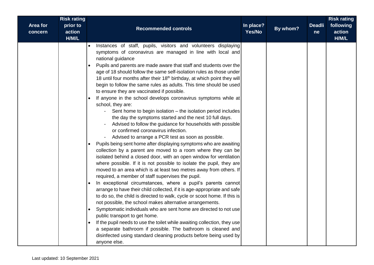| Area for<br>concern | <b>Risk rating</b><br>prior to<br>action<br>H/M/L | <b>Recommended controls</b>                                                                                                                                                                                                                                                                                                                                                                                                                                                                                                                                                                                                                                                                                                                                                                                                                                                                                                                                                                                                                                                                                                                                                                                                                                                                                                                                                                                                                                                                                                                                                                                                                                                                                                                                                                                                                                                                                            | In place?<br>Yes/No | By whom? | <b>Deadli</b><br>ne | <b>Risk rating</b><br>following<br>action<br>H/M/L |
|---------------------|---------------------------------------------------|------------------------------------------------------------------------------------------------------------------------------------------------------------------------------------------------------------------------------------------------------------------------------------------------------------------------------------------------------------------------------------------------------------------------------------------------------------------------------------------------------------------------------------------------------------------------------------------------------------------------------------------------------------------------------------------------------------------------------------------------------------------------------------------------------------------------------------------------------------------------------------------------------------------------------------------------------------------------------------------------------------------------------------------------------------------------------------------------------------------------------------------------------------------------------------------------------------------------------------------------------------------------------------------------------------------------------------------------------------------------------------------------------------------------------------------------------------------------------------------------------------------------------------------------------------------------------------------------------------------------------------------------------------------------------------------------------------------------------------------------------------------------------------------------------------------------------------------------------------------------------------------------------------------------|---------------------|----------|---------------------|----------------------------------------------------|
|                     |                                                   | Instances of staff, pupils, visitors and volunteers displaying<br>symptoms of coronavirus are managed in line with local and<br>national guidance<br>Pupils and parents are made aware that staff and students over the<br>age of 18 should follow the same self-isolation rules as those under<br>18 until four months after their 18th birthday, at which point they will<br>begin to follow the same rules as adults. This time should be used<br>to ensure they are vaccinated if possible.<br>If anyone in the school develops coronavirus symptoms while at<br>school, they are:<br>Sent home to begin isolation - the isolation period includes<br>the day the symptoms started and the next 10 full days.<br>Advised to follow the guidance for households with possible<br>or confirmed coronavirus infection.<br>Advised to arrange a PCR test as soon as possible.<br>Pupils being sent home after displaying symptoms who are awaiting<br>collection by a parent are moved to a room where they can be<br>isolated behind a closed door, with an open window for ventilation<br>where possible. If it is not possible to isolate the pupil, they are<br>moved to an area which is at least two metres away from others. If<br>required, a member of staff supervises the pupil.<br>In exceptional circumstances, where a pupil's parents cannot<br>arrange to have their child collected, if it is age-appropriate and safe<br>to do so, the child is directed to walk, cycle or scoot home. If this is<br>not possible, the school makes alternative arrangements.<br>Symptomatic individuals who are sent home are directed to not use<br>public transport to get home.<br>If the pupil needs to use the toilet while awaiting collection, they use<br>a separate bathroom if possible. The bathroom is cleaned and<br>disinfected using standard cleaning products before being used by<br>anyone else. |                     |          |                     |                                                    |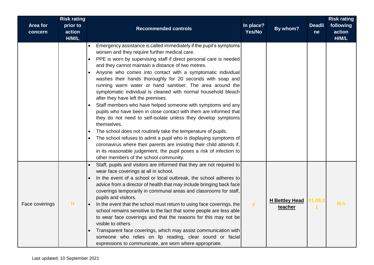|                     | <b>Risk rating</b>          |                                                                                                                                                                                                                                                                                                                                                                                                                                                                                                                                                                                                                                                                                                                                                                                                                                                                                                                                                                                                                                                                                                                                              |                     |                                  |                     | <b>Risk rating</b>           |
|---------------------|-----------------------------|----------------------------------------------------------------------------------------------------------------------------------------------------------------------------------------------------------------------------------------------------------------------------------------------------------------------------------------------------------------------------------------------------------------------------------------------------------------------------------------------------------------------------------------------------------------------------------------------------------------------------------------------------------------------------------------------------------------------------------------------------------------------------------------------------------------------------------------------------------------------------------------------------------------------------------------------------------------------------------------------------------------------------------------------------------------------------------------------------------------------------------------------|---------------------|----------------------------------|---------------------|------------------------------|
| Area for<br>concern | prior to<br>action<br>H/M/L | <b>Recommended controls</b>                                                                                                                                                                                                                                                                                                                                                                                                                                                                                                                                                                                                                                                                                                                                                                                                                                                                                                                                                                                                                                                                                                                  | In place?<br>Yes/No | By whom?                         | <b>Deadli</b><br>ne | following<br>action<br>H/M/L |
|                     |                             | Emergency assistance is called immediately if the pupil's symptoms<br>worsen and they require further medical care.<br>PPE is worn by supervising staff if direct personal care is needed<br>$\bullet$<br>and they cannot maintain a distance of two metres.<br>Anyone who comes into contact with a symptomatic individual<br>$\bullet$<br>washes their hands thoroughly for 20 seconds with soap and<br>running warm water or hand sanitiser. The area around the<br>symptomatic individual is cleaned with normal household bleach<br>after they have left the premises.<br>Staff members who have helped someone with symptoms and any<br>pupils who have been in close contact with them are informed that<br>they do not need to self-isolate unless they develop symptoms<br>themselves.<br>The school does not routinely take the temperature of pupils.<br>$\bullet$<br>The school refuses to admit a pupil who is displaying symptoms of<br>coronavirus where their parents are insisting their child attends if,<br>in its reasonable judgement, the pupil poses a risk of infection to<br>other members of the school community. |                     |                                  |                     |                              |
| Face coverings      | н                           | Staff, pupils and visitors are informed that they are not required to<br>wear face coverings at all in school.<br>In the event of a school or local outbreak, the school adheres to<br>$\bullet$<br>advice from a director of health that may include bringing back face<br>coverings temporarily in communal areas and classrooms for staff,<br>pupils and visitors.<br>In the event that the school must return to using face coverings, the<br>school remains sensitive to the fact that some people are less able<br>to wear face coverings and that the reasons for this may not be<br>visible to others.<br>Transparent face coverings, which may assist communication with<br>someone who relies on lip reading, clear sound or facial<br>expressions to communicate, are worn where appropriate.                                                                                                                                                                                                                                                                                                                                     | $\mathbf{y}$        | <b>H Bettley Head</b><br>teacher | 01.09.2             | M <sub>h</sub>               |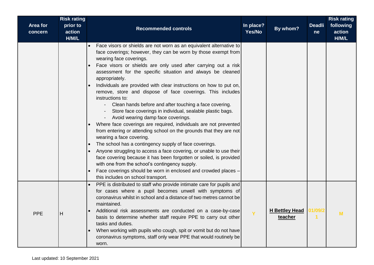| Area for<br>concern | <b>Risk rating</b><br>prior to<br>action<br>H/M/L | <b>Recommended controls</b>                                                                                                                                                                                                                                                                                                                                                                                                                                                                                                                                                                                                                                                                                                                                                                                                                                                                                                                                                                                                                                                                                                                                                                   | In place?<br>Yes/No | By whom?                         | <b>Deadli</b><br>ne | <b>Risk rating</b><br>following<br>action<br>H/M/L |
|---------------------|---------------------------------------------------|-----------------------------------------------------------------------------------------------------------------------------------------------------------------------------------------------------------------------------------------------------------------------------------------------------------------------------------------------------------------------------------------------------------------------------------------------------------------------------------------------------------------------------------------------------------------------------------------------------------------------------------------------------------------------------------------------------------------------------------------------------------------------------------------------------------------------------------------------------------------------------------------------------------------------------------------------------------------------------------------------------------------------------------------------------------------------------------------------------------------------------------------------------------------------------------------------|---------------------|----------------------------------|---------------------|----------------------------------------------------|
|                     |                                                   | Face visors or shields are not worn as an equivalent alternative to<br>face coverings; however, they can be worn by those exempt from<br>wearing face coverings.<br>Face visors or shields are only used after carrying out a risk<br>assessment for the specific situation and always be cleaned<br>appropriately.<br>Individuals are provided with clear instructions on how to put on,<br>remove, store and dispose of face coverings. This includes<br>instructions to:<br>Clean hands before and after touching a face covering.<br>Store face coverings in individual, sealable plastic bags.<br>Avoid wearing damp face coverings.<br>Where face coverings are required, individuals are not prevented<br>from entering or attending school on the grounds that they are not<br>wearing a face covering.<br>The school has a contingency supply of face coverings.<br>Anyone struggling to access a face covering, or unable to use their<br>face covering because it has been forgotten or soiled, is provided<br>with one from the school's contingency supply.<br>Face coverings should be worn in enclosed and crowded places -<br>$\bullet$<br>this includes on school transport. |                     |                                  |                     |                                                    |
| <b>PPE</b>          | H                                                 | PPE is distributed to staff who provide intimate care for pupils and<br>$\bullet$<br>for cases where a pupil becomes unwell with symptoms of<br>coronavirus whilst in school and a distance of two metres cannot be<br>maintained.<br>Additional risk assessments are conducted on a case-by-case<br>$\bullet$<br>basis to determine whether staff require PPE to carry out other<br>tasks and duties.<br>When working with pupils who cough, spit or vomit but do not have<br>$\bullet$<br>coronavirus symptoms, staff only wear PPE that would routinely be<br>worn.                                                                                                                                                                                                                                                                                                                                                                                                                                                                                                                                                                                                                        | Y                   | <b>H Bettley Head</b><br>teacher | 01/09/2             | M                                                  |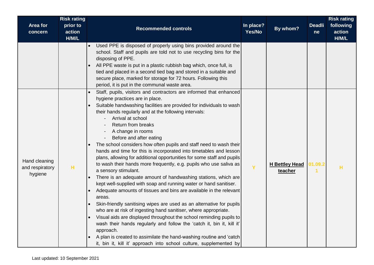| <b>Area for</b><br>concern                  | <b>Risk rating</b><br>prior to<br>action<br>H/M/L | <b>Recommended controls</b>                                                                                                                                                                                                                                                                                                                                                                                                                                                                                                                                                                                                                                                                                                                                                                                                                                                                                                                                                                                                                                                                                                                                                                                                                                                                                                              | In place?<br>Yes/No | By whom?                         | <b>Deadli</b><br>ne | <b>Risk rating</b><br>following<br>action<br>H/M/L |
|---------------------------------------------|---------------------------------------------------|------------------------------------------------------------------------------------------------------------------------------------------------------------------------------------------------------------------------------------------------------------------------------------------------------------------------------------------------------------------------------------------------------------------------------------------------------------------------------------------------------------------------------------------------------------------------------------------------------------------------------------------------------------------------------------------------------------------------------------------------------------------------------------------------------------------------------------------------------------------------------------------------------------------------------------------------------------------------------------------------------------------------------------------------------------------------------------------------------------------------------------------------------------------------------------------------------------------------------------------------------------------------------------------------------------------------------------------|---------------------|----------------------------------|---------------------|----------------------------------------------------|
|                                             |                                                   | Used PPE is disposed of properly using bins provided around the<br>school. Staff and pupils are told not to use recycling bins for the<br>disposing of PPE.<br>All PPE waste is put in a plastic rubbish bag which, once full, is<br>tied and placed in a second tied bag and stored in a suitable and<br>secure place, marked for storage for 72 hours. Following this<br>period, it is put in the communal waste area.                                                                                                                                                                                                                                                                                                                                                                                                                                                                                                                                                                                                                                                                                                                                                                                                                                                                                                                 |                     |                                  |                     |                                                    |
| Hand cleaning<br>and respiratory<br>hygiene | н                                                 | Staff, pupils, visitors and contractors are informed that enhanced<br>hygiene practices are in place.<br>Suitable handwashing facilities are provided for individuals to wash<br>their hands regularly and at the following intervals:<br>Arrival at school<br><b>Return from breaks</b><br>A change in rooms<br>Before and after eating<br>The school considers how often pupils and staff need to wash their<br>hands and time for this is incorporated into timetables and lesson<br>plans, allowing for additional opportunities for some staff and pupils<br>to wash their hands more frequently, e.g. pupils who use saliva as<br>a sensory stimulant.<br>There is an adequate amount of handwashing stations, which are<br>kept well-supplied with soap and running water or hand sanitiser.<br>Adequate amounts of tissues and bins are available in the relevant<br>areas.<br>Skin-friendly sanitising wipes are used as an alternative for pupils<br>who are at risk of ingesting hand sanitiser, where appropriate.<br>Visual aids are displayed throughout the school reminding pupils to<br>wash their hands regularly and follow the 'catch it, bin it, kill it'<br>approach.<br>A plan is created to assimilate the hand-washing routine and 'catch<br>it, bin it, kill it' approach into school culture, supplemented by | Ÿ                   | <b>H</b> Bettley Head<br>teacher | 01.09.2             | н                                                  |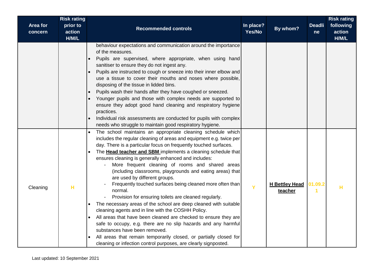| Area for<br>concern | <b>Risk rating</b><br>prior to<br>action<br>H/M/L | <b>Recommended controls</b>                                                                                                                                                                                                                                                                                                                                                                                                                                                                                                                                                                                                                                                                                                                                                                                                                                                                                                                                                                                                                               | In place?<br>Yes/No | By whom?                         | <b>Deadli</b><br>ne | <b>Risk rating</b><br>following<br>action<br>H/M/L |
|---------------------|---------------------------------------------------|-----------------------------------------------------------------------------------------------------------------------------------------------------------------------------------------------------------------------------------------------------------------------------------------------------------------------------------------------------------------------------------------------------------------------------------------------------------------------------------------------------------------------------------------------------------------------------------------------------------------------------------------------------------------------------------------------------------------------------------------------------------------------------------------------------------------------------------------------------------------------------------------------------------------------------------------------------------------------------------------------------------------------------------------------------------|---------------------|----------------------------------|---------------------|----------------------------------------------------|
|                     |                                                   | behaviour expectations and communication around the importance<br>of the measures.<br>Pupils are supervised, where appropriate, when using hand<br>sanitiser to ensure they do not ingest any.<br>Pupils are instructed to cough or sneeze into their inner elbow and<br>use a tissue to cover their mouths and noses where possible,<br>disposing of the tissue in lidded bins.<br>Pupils wash their hands after they have coughed or sneezed.<br>Younger pupils and those with complex needs are supported to<br>ensure they adopt good hand cleaning and respiratory hygiene<br>practices.<br>Individual risk assessments are conducted for pupils with complex<br>needs who struggle to maintain good respiratory hygiene.                                                                                                                                                                                                                                                                                                                            |                     |                                  |                     |                                                    |
| Cleaning            | н                                                 | The school maintains an appropriate cleaning schedule which<br>includes the regular cleaning of areas and equipment e.g. twice per<br>day. There is a particular focus on frequently touched surfaces.<br>The Head teacher and SBM implements a cleaning schedule that<br>ensures cleaning is generally enhanced and includes:<br>More frequent cleaning of rooms and shared areas<br>(including classrooms, playgrounds and eating areas) that<br>are used by different groups.<br>Frequently touched surfaces being cleaned more often than<br>normal.<br>Provision for ensuring toilets are cleaned regularly.<br>The necessary areas of the school are deep cleaned with suitable<br>cleaning agents and in line with the COSHH Policy.<br>All areas that have been cleaned are checked to ensure they are<br>safe to occupy, e.g. there are no slip hazards and any harmful<br>substances have been removed.<br>All areas that remain temporarily closed, or partially closed for<br>cleaning or infection control purposes, are clearly signposted. | Y                   | <b>H Bettley Head</b><br>teacher | 01.09.2             | н                                                  |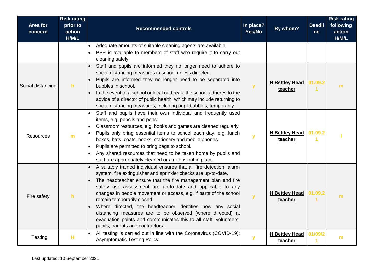| Area for<br>concern | <b>Risk rating</b><br>prior to<br>action<br>H/M/L | <b>Recommended controls</b>                                                                                                                                                                                                                                                                                                                                                                                                                                                                                                                                                                                   | In place?<br>Yes/No | By whom?                         | <b>Deadli</b><br>ne | <b>Risk rating</b><br>following<br>action<br>H/M/L |
|---------------------|---------------------------------------------------|---------------------------------------------------------------------------------------------------------------------------------------------------------------------------------------------------------------------------------------------------------------------------------------------------------------------------------------------------------------------------------------------------------------------------------------------------------------------------------------------------------------------------------------------------------------------------------------------------------------|---------------------|----------------------------------|---------------------|----------------------------------------------------|
|                     |                                                   | Adequate amounts of suitable cleaning agents are available.<br>PPE is available to members of staff who require it to carry out<br>cleaning safely.                                                                                                                                                                                                                                                                                                                                                                                                                                                           |                     |                                  |                     |                                                    |
| Social distancing   | $\mathbf{h}$                                      | Staff and pupils are informed they no longer need to adhere to<br>social distancing measures in school unless directed.<br>Pupils are informed they no longer need to be separated into<br>bubbles in school.<br>In the event of a school or local outbreak, the school adheres to the<br>advice of a director of public health, which may include returning to<br>social distancing measures, including pupil bubbles, temporarily                                                                                                                                                                           | $\mathbf y$         | <b>H</b> Bettley Head<br>teacher | 01.09.2             | m                                                  |
| <b>Resources</b>    | m                                                 | Staff and pupils have their own individual and frequently used<br>items, e.g. pencils and pens.<br>Classroom resources, e.g. books and games are cleaned regularly.<br>Pupils only bring essential items to school each day, e.g. lunch<br>boxes, hats, coats, books, stationery and mobile phones.<br>Pupils are permitted to bring bags to school.<br>Any shared resources that need to be taken home by pupils and<br>staff are appropriately cleaned or a rota is put in place.                                                                                                                           | $\mathbf{y}$        | <b>H Bettley Head</b><br>teacher | 01.09.2             |                                                    |
| Fire safety         | h                                                 | A suitably trained individual ensures that all fire detection, alarm<br>system, fire extinguisher and sprinkler checks are up-to-date.<br>The headteacher ensure that the fire management plan and fire<br>safety risk assessment are up-to-date and applicable to any<br>changes in people movement or access, e.g. if parts of the school<br>remain temporarily closed.<br>Where directed, the headteacher identifies how any social<br>distancing measures are to be observed (where directed) at<br>evacuation points and communicates this to all staff, volunteers,<br>pupils, parents and contractors. | $\mathbf{y}$        | <b>H Bettley Head</b><br>teacher | 01.09,2             | m                                                  |
| Testing             | н                                                 | All testing is carried out in line with the Coronavirus (COVID-19):<br>Asymptomatic Testing Policy.                                                                                                                                                                                                                                                                                                                                                                                                                                                                                                           | $\mathbf{y}$        | <b>H Bettley Head</b><br>teacher | 01/09/2             | $\mathbf{m}$                                       |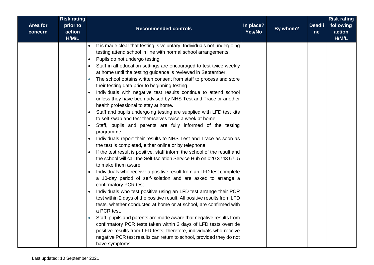| <b>Risk rating</b><br>Area for<br>prior to<br>action<br>concern<br>H/M/L | <b>Recommended controls</b>                                                                                                                                                                                                                                                                                                                                                                                                                                                                                                                                                                                                                                                                                                                                                                                                                                                                                                                                                                                                                                                                                                                                                                                                                                                                                                                                                                                                                                                                                                                                                                                                                                                                                                                                                                                                                                                                                                                                  | In place?<br>Yes/No | By whom? | <b>Deadli</b><br>ne | <b>Risk rating</b><br>following<br>action<br>H/M/L |
|--------------------------------------------------------------------------|--------------------------------------------------------------------------------------------------------------------------------------------------------------------------------------------------------------------------------------------------------------------------------------------------------------------------------------------------------------------------------------------------------------------------------------------------------------------------------------------------------------------------------------------------------------------------------------------------------------------------------------------------------------------------------------------------------------------------------------------------------------------------------------------------------------------------------------------------------------------------------------------------------------------------------------------------------------------------------------------------------------------------------------------------------------------------------------------------------------------------------------------------------------------------------------------------------------------------------------------------------------------------------------------------------------------------------------------------------------------------------------------------------------------------------------------------------------------------------------------------------------------------------------------------------------------------------------------------------------------------------------------------------------------------------------------------------------------------------------------------------------------------------------------------------------------------------------------------------------------------------------------------------------------------------------------------------------|---------------------|----------|---------------------|----------------------------------------------------|
|                                                                          | It is made clear that testing is voluntary. Individuals not undergoing<br>$\bullet$<br>testing attend school in line with normal school arrangements.<br>Pupils do not undergo testing.<br>$\bullet$<br>Staff in all education settings are encouraged to test twice weekly<br>at home until the testing guidance is reviewed in September.<br>The school obtains written consent from staff to process and store<br>$\bullet$<br>their testing data prior to beginning testing.<br>Individuals with negative test results continue to attend school<br>unless they have been advised by NHS Test and Trace or another<br>health professional to stay at home.<br>Staff and pupils undergoing testing are supplied with LFD test kits<br>$\bullet$<br>to self-swab and test themselves twice a week at home.<br>Staff, pupils and parents are fully informed of the testing<br>$\bullet$<br>programme.<br>Individuals report their results to NHS Test and Trace as soon as<br>$\bullet$<br>the test is completed, either online or by telephone.<br>If the test result is positive, staff inform the school of the result and<br>the school will call the Self-Isolation Service Hub on 020 3743 6715<br>to make them aware.<br>Individuals who receive a positive result from an LFD test complete<br>a 10-day period of self-isolation and are asked to arrange a<br>confirmatory PCR test.<br>Individuals who test positive using an LFD test arrange their PCR<br>test within 2 days of the positive result. All positive results from LFD<br>tests, whether conducted at home or at school, are confirmed with<br>a PCR test.<br>Staff, pupils and parents are made aware that negative results from<br>$\bullet$<br>confirmatory PCR tests taken within 2 days of LFD tests override<br>positive results from LFD tests; therefore, individuals who receive<br>negative PCR test results can return to school, provided they do not<br>have symptoms. |                     |          |                     |                                                    |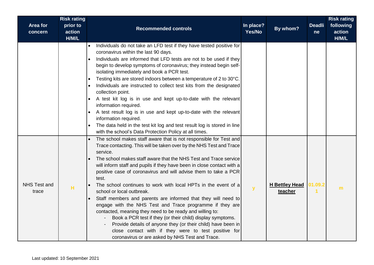| <b>Area for</b><br>concern   | <b>Risk rating</b><br>prior to<br>action<br>H/M/L | <b>Recommended controls</b>                                                                                                                                                                                                                                                                                                                                                                                                                                                                                                                                                                                                                                                                                                                                                                                                                                                                                     | In place?<br>Yes/No | By whom?                         | <b>Deadli</b><br><sub>ne</sub> | <b>Risk rating</b><br>following<br>action<br>H/M/L |
|------------------------------|---------------------------------------------------|-----------------------------------------------------------------------------------------------------------------------------------------------------------------------------------------------------------------------------------------------------------------------------------------------------------------------------------------------------------------------------------------------------------------------------------------------------------------------------------------------------------------------------------------------------------------------------------------------------------------------------------------------------------------------------------------------------------------------------------------------------------------------------------------------------------------------------------------------------------------------------------------------------------------|---------------------|----------------------------------|--------------------------------|----------------------------------------------------|
|                              |                                                   | Individuals do not take an LFD test if they have tested positive for<br>coronavirus within the last 90 days.<br>Individuals are informed that LFD tests are not to be used if they<br>begin to develop symptoms of coronavirus; they instead begin self-<br>isolating immediately and book a PCR test.<br>Testing kits are stored indoors between a temperature of 2 to 30°C.<br>$\bullet$<br>Individuals are instructed to collect test kits from the designated<br>collection point.<br>A test kit log is in use and kept up-to-date with the relevant<br>information required.<br>A test result log is in use and kept up-to-date with the relevant<br>information required.<br>The data held in the test kit log and test result log is stored in line<br>with the school's Data Protection Policy at all times.                                                                                            |                     |                                  |                                |                                                    |
| <b>NHS Test and</b><br>trace | н                                                 | The school makes staff aware that is not responsible for Test and<br>Trace contacting. This will be taken over by the NHS Test and Trace<br>service.<br>The school makes staff aware that the NHS Test and Trace service<br>will inform staff and pupils if they have been in close contact with a<br>positive case of coronavirus and will advise them to take a PCR<br>test.<br>The school continues to work with local HPTs in the event of a<br>school or local outbreak.<br>Staff members and parents are informed that they will need to<br>engage with the NHS Test and Trace programme if they are<br>contacted, meaning they need to be ready and willing to:<br>Book a PCR test if they (or their child) display symptoms.<br>Provide details of anyone they (or their child) have been in<br>close contact with if they were to test positive for<br>coronavirus or are asked by NHS Test and Trace. | y                   | <b>H</b> Bettley Head<br>teacher | 01.09.2                        | m                                                  |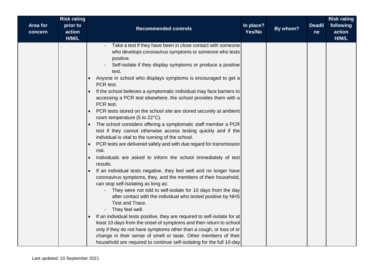| <b>Risk rating</b><br>prior to<br>Area for<br>action<br>concern<br>H/M/L | <b>Recommended controls</b>                                                                                                                                                                                                                                                                                                                                                                                                                                                                                                                                                                                                                                                                                                                                                                                                                                                                                                                                                                                                                                                                                                                                                                                                                                                                                                                                                                                                                                                                                                                                                                                                                | In place?<br>Yes/No | By whom? | <b>Deadli</b><br>ne | <b>Risk rating</b><br>following<br>action<br>H/M/L |
|--------------------------------------------------------------------------|--------------------------------------------------------------------------------------------------------------------------------------------------------------------------------------------------------------------------------------------------------------------------------------------------------------------------------------------------------------------------------------------------------------------------------------------------------------------------------------------------------------------------------------------------------------------------------------------------------------------------------------------------------------------------------------------------------------------------------------------------------------------------------------------------------------------------------------------------------------------------------------------------------------------------------------------------------------------------------------------------------------------------------------------------------------------------------------------------------------------------------------------------------------------------------------------------------------------------------------------------------------------------------------------------------------------------------------------------------------------------------------------------------------------------------------------------------------------------------------------------------------------------------------------------------------------------------------------------------------------------------------------|---------------------|----------|---------------------|----------------------------------------------------|
|                                                                          | Take a test if they have been in close contact with someone<br>who develops coronavirus symptoms or someone who tests<br>positive.<br>Self-isolate if they display symptoms or produce a positive<br>test.<br>Anyone in school who displays symptoms is encouraged to get a<br>PCR test.<br>If the school believes a symptomatic individual may face barriers to<br>accessing a PCR test elsewhere, the school provides them with a<br>PCR test.<br>PCR tests stored on the school site are stored securely at ambient<br>room temperature (5 to 22°C).<br>The school considers offering a symptomatic staff member a PCR<br>test if they cannot otherwise access testing quickly and if the<br>individual is vital to the running of the school.<br>PCR tests are delivered safely and with due regard for transmission<br>risk.<br>Individuals are asked to inform the school immediately of test<br>results.<br>If an individual tests negative, they feel well and no longer have<br>coronavirus symptoms, they, and the members of their household,<br>can stop self-isolating as long as:<br>They were not told to self-isolate for 10 days from the day<br>after contact with the individual who tested positive by NHS<br>Test and Trace.<br>They feel well.<br>If an individual tests positive, they are required to self-isolate for at<br>least 10 days from the onset of symptoms and then return to school<br>only if they do not have symptoms other than a cough, or loss of or<br>change in their sense of smell or taste. Other members of their<br>household are required to continue self-isolating for the full 10-day |                     |          |                     |                                                    |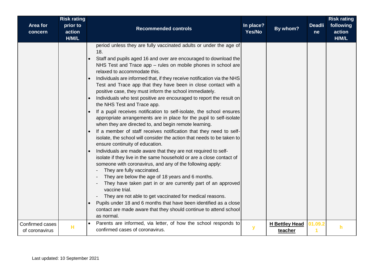| <b>Area for</b><br>concern        | <b>Risk rating</b><br>prior to<br>action<br>H/M/L | <b>Recommended controls</b>                                                                                                                                                                                                                                                                                                                                                                                                                                                                                                                                                                                                                                                                                                                                                                                                                                                                                                                                                                                                                                                                                                                                                                                                                                                                                                                                                                                                                                                                                                                             | In place?<br>Yes/No | By whom?                         | <b>Deadli</b><br>ne | <b>Risk rating</b><br>following<br>action<br>H/M/L |
|-----------------------------------|---------------------------------------------------|---------------------------------------------------------------------------------------------------------------------------------------------------------------------------------------------------------------------------------------------------------------------------------------------------------------------------------------------------------------------------------------------------------------------------------------------------------------------------------------------------------------------------------------------------------------------------------------------------------------------------------------------------------------------------------------------------------------------------------------------------------------------------------------------------------------------------------------------------------------------------------------------------------------------------------------------------------------------------------------------------------------------------------------------------------------------------------------------------------------------------------------------------------------------------------------------------------------------------------------------------------------------------------------------------------------------------------------------------------------------------------------------------------------------------------------------------------------------------------------------------------------------------------------------------------|---------------------|----------------------------------|---------------------|----------------------------------------------------|
|                                   |                                                   | period unless they are fully vaccinated adults or under the age of<br>18.<br>Staff and pupils aged 16 and over are encouraged to download the<br>NHS Test and Trace app - rules on mobile phones in school are<br>relaxed to accommodate this.<br>Individuals are informed that, if they receive notification via the NHS<br>Test and Trace app that they have been in close contact with a<br>positive case, they must inform the school immediately.<br>Individuals who test positive are encouraged to report the result on<br>the NHS Test and Trace app.<br>If a pupil receives notification to self-isolate, the school ensures<br>appropriate arrangements are in place for the pupil to self-isolate<br>when they are directed to, and begin remote learning.<br>If a member of staff receives notification that they need to self-<br>isolate, the school will consider the action that needs to be taken to<br>ensure continuity of education.<br>Individuals are made aware that they are not required to self-<br>isolate if they live in the same household or are a close contact of<br>someone with coronavirus, and any of the following apply:<br>They are fully vaccinated.<br>They are below the age of 18 years and 6 months.<br>They have taken part in or are currently part of an approved<br>vaccine trial.<br>They are not able to get vaccinated for medical reasons.<br>Pupils under 18 and 6 months that have been identified as a close<br>contact are made aware that they should continue to attend school<br>as normal. |                     |                                  |                     |                                                    |
| Confirmed cases<br>of coronavirus | н                                                 | Parents are informed, via letter, of how the school responds to<br>$\bullet$<br>confirmed cases of coronavirus.                                                                                                                                                                                                                                                                                                                                                                                                                                                                                                                                                                                                                                                                                                                                                                                                                                                                                                                                                                                                                                                                                                                                                                                                                                                                                                                                                                                                                                         | У                   | <b>H</b> Bettley Head<br>teacher | 01.09.2             | h                                                  |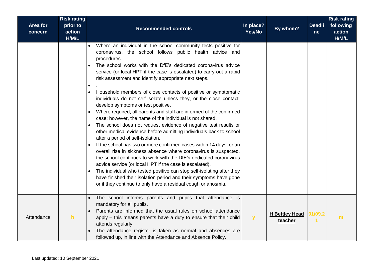| Area for<br>concern | <b>Risk rating</b><br>prior to<br>action<br>H/M/L | <b>Recommended controls</b>                                                                                                                                                                                                                                                                                                                                                                                                                                                                                                                                                                                                                                                                                                                                                                                                                                                                                                                                                                                                                                                                                                                                                                                                                                                                                                                                   | In place?<br>Yes/No | By whom?                         | <b>Deadli</b><br>ne | <b>Risk rating</b><br>following<br>action<br>H/M/L |
|---------------------|---------------------------------------------------|---------------------------------------------------------------------------------------------------------------------------------------------------------------------------------------------------------------------------------------------------------------------------------------------------------------------------------------------------------------------------------------------------------------------------------------------------------------------------------------------------------------------------------------------------------------------------------------------------------------------------------------------------------------------------------------------------------------------------------------------------------------------------------------------------------------------------------------------------------------------------------------------------------------------------------------------------------------------------------------------------------------------------------------------------------------------------------------------------------------------------------------------------------------------------------------------------------------------------------------------------------------------------------------------------------------------------------------------------------------|---------------------|----------------------------------|---------------------|----------------------------------------------------|
|                     |                                                   | Where an individual in the school community tests positive for<br>coronavirus, the school follows public health advice and<br>procedures.<br>The school works with the DfE's dedicated coronavirus advice<br>service (or local HPT if the case is escalated) to carry out a rapid<br>risk assessment and identify appropriate next steps.<br>Household members of close contacts of positive or symptomatic<br>$\bullet$<br>individuals do not self-isolate unless they, or the close contact,<br>develop symptoms or test positive.<br>Where required, all parents and staff are informed of the confirmed<br>case; however, the name of the individual is not shared.<br>The school does not request evidence of negative test results or<br>$\bullet$<br>other medical evidence before admitting individuals back to school<br>after a period of self-isolation.<br>If the school has two or more confirmed cases within 14 days, or an<br>overall rise in sickness absence where coronavirus is suspected,<br>the school continues to work with the DfE's dedicated coronavirus<br>advice service (or local HPT if the case is escalated).<br>The individual who tested positive can stop self-isolating after they<br>have finished their isolation period and their symptoms have gone<br>or if they continue to only have a residual cough or anosmia. |                     |                                  |                     |                                                    |
| Attendance          | h                                                 | The school informs parents and pupils that attendance is<br>mandatory for all pupils.<br>Parents are informed that the usual rules on school attendance<br>apply - this means parents have a duty to ensure that their child<br>attends regularly.<br>The attendance register is taken as normal and absences are<br>followed up, in line with the Attendance and Absence Policy.                                                                                                                                                                                                                                                                                                                                                                                                                                                                                                                                                                                                                                                                                                                                                                                                                                                                                                                                                                             | $\mathbf{y}$        | <b>H Bettley Head</b><br>teacher | 01/09.2             | m                                                  |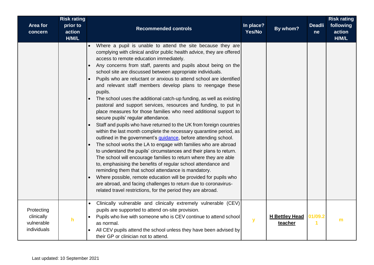| Area for<br>concern                                   | <b>Risk rating</b><br>prior to<br>action<br>H/M/L | <b>Recommended controls</b>                                                                                                                                                                                                                                                                                                                                                                                                                                                                                                                                                                                                                                                                                                                                                                                                                                                                                                                                                                                                                                                                                                                                                                                                                                                                                                                                                                                                                                                                          | In place?<br>Yes/No | By whom?                         | <b>Deadli</b><br>ne | <b>Risk rating</b><br>following<br>action<br>H/M/L |
|-------------------------------------------------------|---------------------------------------------------|------------------------------------------------------------------------------------------------------------------------------------------------------------------------------------------------------------------------------------------------------------------------------------------------------------------------------------------------------------------------------------------------------------------------------------------------------------------------------------------------------------------------------------------------------------------------------------------------------------------------------------------------------------------------------------------------------------------------------------------------------------------------------------------------------------------------------------------------------------------------------------------------------------------------------------------------------------------------------------------------------------------------------------------------------------------------------------------------------------------------------------------------------------------------------------------------------------------------------------------------------------------------------------------------------------------------------------------------------------------------------------------------------------------------------------------------------------------------------------------------------|---------------------|----------------------------------|---------------------|----------------------------------------------------|
|                                                       |                                                   | Where a pupil is unable to attend the site because they are<br>complying with clinical and/or public health advice, they are offered<br>access to remote education immediately.<br>Any concerns from staff, parents and pupils about being on the<br>school site are discussed between appropriate individuals.<br>Pupils who are reluctant or anxious to attend school are identified<br>and relevant staff members develop plans to reengage these<br>pupils.<br>The school uses the additional catch-up funding, as well as existing<br>$\bullet$<br>pastoral and support services, resources and funding, to put in<br>place measures for those families who need additional support to<br>secure pupils' regular attendance.<br>Staff and pupils who have returned to the UK from foreign countries<br>within the last month complete the necessary quarantine period, as<br>outlined in the government's <i>quidance</i> , before attending school.<br>The school works the LA to engage with families who are abroad<br>to understand the pupils' circumstances and their plans to return.<br>The school will encourage families to return where they are able<br>to, emphasising the benefits of regular school attendance and<br>reminding them that school attendance is mandatory.<br>Where possible, remote education will be provided for pupils who<br>are abroad, and facing challenges to return due to coronavirus-<br>related travel restrictions, for the period they are abroad. |                     |                                  |                     |                                                    |
| Protecting<br>clinically<br>vulnerable<br>individuals | h                                                 | Clinically vulnerable and clinically extremely vulnerable (CEV)<br>$\bullet$<br>pupils are supported to attend on-site provision.<br>Pupils who live with someone who is CEV continue to attend school<br>as normal.<br>All CEV pupils attend the school unless they have been advised by<br>their GP or clinician not to attend.                                                                                                                                                                                                                                                                                                                                                                                                                                                                                                                                                                                                                                                                                                                                                                                                                                                                                                                                                                                                                                                                                                                                                                    | $\mathbf{y}$        | <b>H Bettley Head</b><br>teacher | 01/09.2             | m                                                  |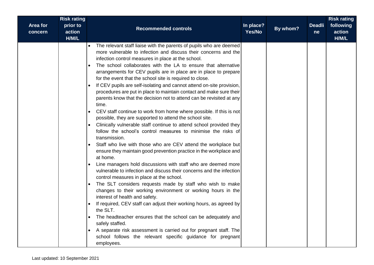| Area for<br>concern | <b>Risk rating</b><br>prior to<br>action<br>H/M/L | <b>Recommended controls</b>                                                                                                                                                                                                                                                                                                                                                                                                                                                                                                                                                                                                                                                                                                                                                                                                                                                                                                                                                                                                                                                                                                                                                                                                                                                                                                                                                                                                                                                                                                                                                                                                                                                                                                                                | In place?<br>Yes/No | By whom? | <b>Deadli</b><br>ne | <b>Risk rating</b><br>following<br>action<br>H/M/L |
|---------------------|---------------------------------------------------|------------------------------------------------------------------------------------------------------------------------------------------------------------------------------------------------------------------------------------------------------------------------------------------------------------------------------------------------------------------------------------------------------------------------------------------------------------------------------------------------------------------------------------------------------------------------------------------------------------------------------------------------------------------------------------------------------------------------------------------------------------------------------------------------------------------------------------------------------------------------------------------------------------------------------------------------------------------------------------------------------------------------------------------------------------------------------------------------------------------------------------------------------------------------------------------------------------------------------------------------------------------------------------------------------------------------------------------------------------------------------------------------------------------------------------------------------------------------------------------------------------------------------------------------------------------------------------------------------------------------------------------------------------------------------------------------------------------------------------------------------------|---------------------|----------|---------------------|----------------------------------------------------|
|                     | $\bullet$<br>$\bullet$<br>$\bullet$               | The relevant staff liaise with the parents of pupils who are deemed<br>more vulnerable to infection and discuss their concerns and the<br>infection control measures in place at the school.<br>The school collaborates with the LA to ensure that alternative<br>arrangements for CEV pupils are in place are in place to prepare<br>for the event that the school site is required to close.<br>If CEV pupils are self-isolating and cannot attend on-site provision,<br>procedures are put in place to maintain contact and make sure their<br>parents know that the decision not to attend can be revisited at any<br>time.<br>CEV staff continue to work from home where possible. If this is not<br>possible, they are supported to attend the school site.<br>Clinically vulnerable staff continue to attend school provided they<br>follow the school's control measures to minimise the risks of<br>transmission.<br>Staff who live with those who are CEV attend the workplace but<br>ensure they maintain good prevention practice in the workplace and<br>at home.<br>Line managers hold discussions with staff who are deemed more<br>vulnerable to infection and discuss their concerns and the infection<br>control measures in place at the school.<br>The SLT considers requests made by staff who wish to make<br>changes to their working environment or working hours in the<br>interest of health and safety.<br>If required, CEV staff can adjust their working hours, as agreed by<br>the SLT.<br>The headteacher ensures that the school can be adequately and<br>safely staffed.<br>A separate risk assessment is carried out for pregnant staff. The<br>school follows the relevant specific guidance for pregnant<br>employees. |                     |          |                     |                                                    |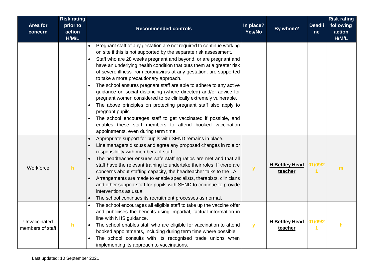| Area for<br>concern              | <b>Risk rating</b><br>prior to<br>action<br>H/M/L | <b>Recommended controls</b>                                                                                                                                                                                                                                                                                                                                                                                                                                                                                                                                                                                                                                                                                                                                                                                                                                                     | In place?<br>Yes/No | By whom?                         | <b>Deadli</b><br>ne | <b>Risk rating</b><br>following<br>action<br>H/M/L |
|----------------------------------|---------------------------------------------------|---------------------------------------------------------------------------------------------------------------------------------------------------------------------------------------------------------------------------------------------------------------------------------------------------------------------------------------------------------------------------------------------------------------------------------------------------------------------------------------------------------------------------------------------------------------------------------------------------------------------------------------------------------------------------------------------------------------------------------------------------------------------------------------------------------------------------------------------------------------------------------|---------------------|----------------------------------|---------------------|----------------------------------------------------|
|                                  |                                                   | Pregnant staff of any gestation are not required to continue working<br>on site if this is not supported by the separate risk assessment.<br>Staff who are 28 weeks pregnant and beyond, or are pregnant and<br>have an underlying health condition that puts them at a greater risk<br>of severe illness from coronavirus at any gestation, are supported<br>to take a more precautionary approach.<br>The school ensures pregnant staff are able to adhere to any active<br>guidance on social distancing (where directed) and/or advice for<br>pregnant women considered to be clinically extremely vulnerable.<br>The above principles on protecting pregnant staff also apply to<br>pregnant pupils.<br>The school encourages staff to get vaccinated if possible, and<br>enables these staff members to attend booked vaccination<br>appointments, even during term time. |                     |                                  |                     |                                                    |
| Workforce                        | h                                                 | Appropriate support for pupils with SEND remains in place.<br>$\bullet$<br>Line managers discuss and agree any proposed changes in role or<br>responsibility with members of staff.<br>The headteacher ensures safe staffing ratios are met and that all<br>staff have the relevant training to undertake their roles. If there are<br>concerns about staffing capacity, the headteacher talks to the LA.<br>Arrangements are made to enable specialists, therapists, clinicians<br>and other support staff for pupils with SEND to continue to provide<br>interventions as usual.<br>The school continues its recruitment processes as normal.                                                                                                                                                                                                                                 | ${\bf y}$           | <b>H Bettley Head</b><br>teacher | 01/09/2             | m                                                  |
| Unvaccinated<br>members of staff | h                                                 | The school encourages all eligible staff to take up the vaccine offer<br>and publicises the benefits using impartial, factual information in<br>line with NHS guidance.<br>The school enables staff who are eligible for vaccination to attend<br>booked appointments, including during term time where possible.<br>The school consults with its recognised trade unions when<br>implementing its approach to vaccinations.                                                                                                                                                                                                                                                                                                                                                                                                                                                    | $\mathbf{y}$        | <b>H Bettley Head</b><br>teacher | 01/09/2             | h                                                  |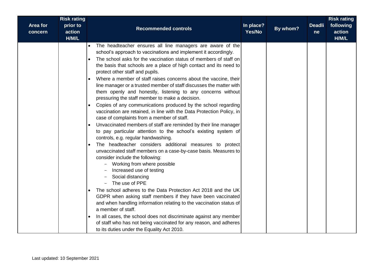| <b>Risk rating</b>                                 |                                                                                                                                                                                                                                                                                                                                                                                                                                                                                                                                                                                                                                                                                                                                                                                                                                                                                                                                                                                                                                                                                                                                                                                                                                                                                                                                                                                                                                                                                                                                                                                                                                                                  |                     |          |                     | <b>Risk rating</b>           |
|----------------------------------------------------|------------------------------------------------------------------------------------------------------------------------------------------------------------------------------------------------------------------------------------------------------------------------------------------------------------------------------------------------------------------------------------------------------------------------------------------------------------------------------------------------------------------------------------------------------------------------------------------------------------------------------------------------------------------------------------------------------------------------------------------------------------------------------------------------------------------------------------------------------------------------------------------------------------------------------------------------------------------------------------------------------------------------------------------------------------------------------------------------------------------------------------------------------------------------------------------------------------------------------------------------------------------------------------------------------------------------------------------------------------------------------------------------------------------------------------------------------------------------------------------------------------------------------------------------------------------------------------------------------------------------------------------------------------------|---------------------|----------|---------------------|------------------------------|
| Area for<br>prior to<br>action<br>concern<br>H/M/L | <b>Recommended controls</b>                                                                                                                                                                                                                                                                                                                                                                                                                                                                                                                                                                                                                                                                                                                                                                                                                                                                                                                                                                                                                                                                                                                                                                                                                                                                                                                                                                                                                                                                                                                                                                                                                                      | In place?<br>Yes/No | By whom? | <b>Deadli</b><br>ne | following<br>action<br>H/M/L |
|                                                    | The headteacher ensures all line managers are aware of the<br>$\bullet$<br>school's approach to vaccinations and implement it accordingly.<br>The school asks for the vaccination status of members of staff on<br>the basis that schools are a place of high contact and its need to<br>protect other staff and pupils.<br>Where a member of staff raises concerns about the vaccine, their<br>line manager or a trusted member of staff discusses the matter with<br>them openly and honestly, listening to any concerns without<br>pressuring the staff member to make a decision.<br>Copies of any communications produced by the school regarding<br>vaccination are retained, in line with the Data Protection Policy, in<br>case of complaints from a member of staff.<br>Unvaccinated members of staff are reminded by their line manager<br>to pay particular attention to the school's existing system of<br>controls, e.g. regular handwashing.<br>The headteacher considers additional measures to protect<br>$\bullet$<br>unvaccinated staff members on a case-by-case basis. Measures to<br>consider include the following:<br>Working from where possible<br>Increased use of testing<br>Social distancing<br>The use of PPE<br>The school adheres to the Data Protection Act 2018 and the UK<br>GDPR when asking staff members if they have been vaccinated<br>and when handling information relating to the vaccination status of<br>a member of staff.<br>In all cases, the school does not discriminate against any member<br>of staff who has not being vaccinated for any reason, and adheres<br>to its duties under the Equality Act 2010. |                     |          |                     |                              |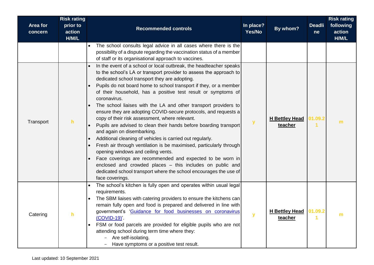| Area for<br>concern | <b>Risk rating</b><br>prior to<br>action<br>H/M/L | <b>Recommended controls</b>                                                                                                                                                                                                                                                                                                                                                                                                                                                                                                                                                                                                                                                                                                                                                                                                                                                                                                                                                                                                                                                   | In place?<br>Yes/No | By whom?                          | <b>Deadli</b><br><sub>ne</sub> | <b>Risk rating</b><br>following<br>action<br>H/M/L |
|---------------------|---------------------------------------------------|-------------------------------------------------------------------------------------------------------------------------------------------------------------------------------------------------------------------------------------------------------------------------------------------------------------------------------------------------------------------------------------------------------------------------------------------------------------------------------------------------------------------------------------------------------------------------------------------------------------------------------------------------------------------------------------------------------------------------------------------------------------------------------------------------------------------------------------------------------------------------------------------------------------------------------------------------------------------------------------------------------------------------------------------------------------------------------|---------------------|-----------------------------------|--------------------------------|----------------------------------------------------|
|                     |                                                   | The school consults legal advice in all cases where there is the<br>possibility of a dispute regarding the vaccination status of a member<br>of staff or its organisational approach to vaccines.                                                                                                                                                                                                                                                                                                                                                                                                                                                                                                                                                                                                                                                                                                                                                                                                                                                                             |                     |                                   |                                |                                                    |
| Transport           | h                                                 | In the event of a school or local outbreak, the headteacher speaks<br>to the school's LA or transport provider to assess the approach to<br>dedicated school transport they are adopting.<br>Pupils do not board home to school transport if they, or a member<br>$\bullet$<br>of their household, has a positive test result or symptoms of<br>coronavirus.<br>The school liaises with the LA and other transport providers to<br>ensure they are adopting COVID-secure protocols, and requests a<br>copy of their risk assessment, where relevant.<br>Pupils are advised to clean their hands before boarding transport<br>and again on disembarking.<br>Additional cleaning of vehicles is carried out regularly.<br>$\bullet$<br>Fresh air through ventilation is be maximised, particularly through<br>$\bullet$<br>opening windows and ceiling vents.<br>Face coverings are recommended and expected to be worn in<br>enclosed and crowded places - this includes on public and<br>dedicated school transport where the school encourages the use of<br>face coverings. | $\mathbf{y}$        | <b>H Bettley Head</b><br>teacher  | 01.09.2                        | m                                                  |
| Catering            |                                                   | The school's kitchen is fully open and operates within usual legal<br>requirements.<br>The SBM liaises with catering providers to ensure the kitchens can<br>remain fully open and food is prepared and delivered in line with<br>government's 'Guidance for food businesses on coronavirus<br>$(COVID-19)$<br>FSM or food parcels are provided for eligible pupils who are not<br>attending school during term time where they:<br>Are self-isolating.<br>Have symptoms or a positive test result.                                                                                                                                                                                                                                                                                                                                                                                                                                                                                                                                                                           |                     | H Bettley Head 01.09.2<br>teacher |                                | ш                                                  |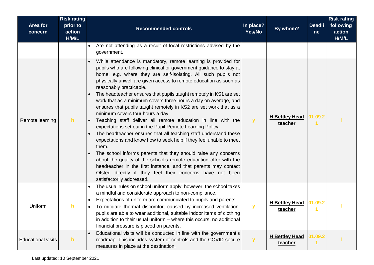| Area for<br>concern       | <b>Risk rating</b><br>prior to<br>action<br>H/M/L | <b>Recommended controls</b>                                                                                                                                                                                                                                                                                                                                                                                                                                                                                                                                                                                                                                                                                                                                                                                                                                                                                                                                                                                                                                                                                                                  | In place?<br>Yes/No | By whom?                         | <b>Deadli</b><br>ne | <b>Risk rating</b><br>following<br>action<br>H/M/L |
|---------------------------|---------------------------------------------------|----------------------------------------------------------------------------------------------------------------------------------------------------------------------------------------------------------------------------------------------------------------------------------------------------------------------------------------------------------------------------------------------------------------------------------------------------------------------------------------------------------------------------------------------------------------------------------------------------------------------------------------------------------------------------------------------------------------------------------------------------------------------------------------------------------------------------------------------------------------------------------------------------------------------------------------------------------------------------------------------------------------------------------------------------------------------------------------------------------------------------------------------|---------------------|----------------------------------|---------------------|----------------------------------------------------|
|                           |                                                   | Are not attending as a result of local restrictions advised by the<br>government.                                                                                                                                                                                                                                                                                                                                                                                                                                                                                                                                                                                                                                                                                                                                                                                                                                                                                                                                                                                                                                                            |                     |                                  |                     |                                                    |
| Remote learning           | h.                                                | While attendance is mandatory, remote learning is provided for<br>pupils who are following clinical or government guidance to stay at<br>home, e.g. where they are self-isolating. All such pupils not<br>physically unwell are given access to remote education as soon as<br>reasonably practicable.<br>The headteacher ensures that pupils taught remotely in KS1 are set<br>work that as a minimum covers three hours a day on average, and<br>ensures that pupils taught remotely in KS2 are set work that as a<br>minimum covers four hours a day.<br>Teaching staff deliver all remote education in line with the<br>expectations set out in the Pupil Remote Learning Policy.<br>The headteacher ensures that all teaching staff understand these<br>expectations and know how to seek help if they feel unable to meet<br>them.<br>The school informs parents that they should raise any concerns<br>about the quality of the school's remote education offer with the<br>headteacher in the first instance, and that parents may contact<br>Ofsted directly if they feel their concerns have not been<br>satisfactorily addressed. | $\mathbf{y}$        | <b>H</b> Bettley Head<br>teacher | 01.09.2             |                                                    |
| Uniform                   | h.                                                | The usual rules on school uniform apply; however, the school takes<br>a mindful and considerate approach to non-compliance.<br>Expectations of uniform are communicated to pupils and parents.<br>To mitigate thermal discomfort caused by increased ventilation,<br>pupils are able to wear additional, suitable indoor items of clothing<br>in addition to their usual uniform - where this occurs, no additional<br>financial pressure is placed on parents.                                                                                                                                                                                                                                                                                                                                                                                                                                                                                                                                                                                                                                                                              | $\mathbf{y}$        | <b>H Bettley Head</b><br>teacher | 01.09.2             |                                                    |
| <b>Educational visits</b> | h                                                 | Educational visits will be conducted in line with the government's<br>roadmap. This includes system of controls and the COVID-secure<br>measures in place at the destination.                                                                                                                                                                                                                                                                                                                                                                                                                                                                                                                                                                                                                                                                                                                                                                                                                                                                                                                                                                | У                   | <b>H</b> Bettley Head<br>teacher | 01.09.2             |                                                    |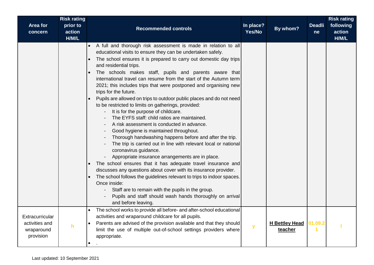| Area for<br>concern                                          | <b>Risk rating</b><br>prior to<br>action<br>H/M/L | <b>Recommended controls</b>                                                                                                                                                                                                                                                                                                                                                                                                                                                                                                                                                                                                                                                                                                                                                                                                                                                                                                                                                                                                                                                                                                                                                                                                                                                                                                                                                                   | In place?<br>Yes/No | By whom?                         | <b>Deadli</b><br>ne | <b>Risk rating</b><br>following<br>action<br>H/M/L |
|--------------------------------------------------------------|---------------------------------------------------|-----------------------------------------------------------------------------------------------------------------------------------------------------------------------------------------------------------------------------------------------------------------------------------------------------------------------------------------------------------------------------------------------------------------------------------------------------------------------------------------------------------------------------------------------------------------------------------------------------------------------------------------------------------------------------------------------------------------------------------------------------------------------------------------------------------------------------------------------------------------------------------------------------------------------------------------------------------------------------------------------------------------------------------------------------------------------------------------------------------------------------------------------------------------------------------------------------------------------------------------------------------------------------------------------------------------------------------------------------------------------------------------------|---------------------|----------------------------------|---------------------|----------------------------------------------------|
|                                                              |                                                   | A full and thorough risk assessment is made in relation to all<br>educational visits to ensure they can be undertaken safely.<br>The school ensures it is prepared to carry out domestic day trips<br>$\bullet$<br>and residential trips.<br>The schools makes staff, pupils and parents aware that<br>$\bullet$<br>international travel can resume from the start of the Autumn term<br>2021; this includes trips that were postponed and organising new<br>trips for the future.<br>Pupils are allowed on trips to outdoor public places and do not need<br>to be restricted to limits on gatherings, provided:<br>It is for the purpose of childcare.<br>The EYFS staff: child ratios are maintained.<br>A risk assessment is conducted in advance.<br>Good hygiene is maintained throughout.<br>Thorough handwashing happens before and after the trip.<br>The trip is carried out in line with relevant local or national<br>coronavirus guidance.<br>Appropriate insurance arrangements are in place.<br>The school ensures that it has adequate travel insurance and<br>discusses any questions about cover with its insurance provider.<br>The school follows the guidelines relevant to trips to indoor spaces.<br>$\bullet$<br>Once inside:<br>Staff are to remain with the pupils in the group.<br>Pupils and staff should wash hands thoroughly on arrival<br>and before leaving. |                     |                                  |                     |                                                    |
| Extracurricular<br>activities and<br>wraparound<br>provision | h.                                                | The school works to provide all before- and after-school educational<br>activities and wraparound childcare for all pupils.<br>Parents are advised of the provision available and that they should<br>limit the use of multiple out-of-school settings providers where<br>appropriate.                                                                                                                                                                                                                                                                                                                                                                                                                                                                                                                                                                                                                                                                                                                                                                                                                                                                                                                                                                                                                                                                                                        | y                   | <b>H Bettley Head</b><br>teacher | 01.09.2<br>1        |                                                    |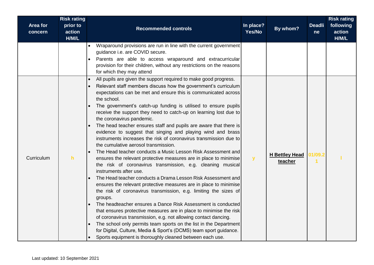| Area for<br>concern | <b>Risk rating</b><br>prior to<br>action<br>H/M/L | <b>Recommended controls</b>                                                                                                                                                                                                                                                                                                                                                                                                                                                                                                                                                                                                                                                                                                                                                                                                                                                                                                                                                                                                                                                                                                                                                                                                                                                                                                                                                                                                                                                                                                         | In place?<br>Yes/No | By whom?                         | <b>Deadli</b><br>ne | <b>Risk rating</b><br>following<br>action<br>H/M/L |
|---------------------|---------------------------------------------------|-------------------------------------------------------------------------------------------------------------------------------------------------------------------------------------------------------------------------------------------------------------------------------------------------------------------------------------------------------------------------------------------------------------------------------------------------------------------------------------------------------------------------------------------------------------------------------------------------------------------------------------------------------------------------------------------------------------------------------------------------------------------------------------------------------------------------------------------------------------------------------------------------------------------------------------------------------------------------------------------------------------------------------------------------------------------------------------------------------------------------------------------------------------------------------------------------------------------------------------------------------------------------------------------------------------------------------------------------------------------------------------------------------------------------------------------------------------------------------------------------------------------------------------|---------------------|----------------------------------|---------------------|----------------------------------------------------|
|                     |                                                   | Wraparound provisions are run in line with the current government<br>guidance i.e. are COVID secure.<br>Parents are able to access wraparound and extracurricular<br>provision for their children, without any restrictions on the reasons<br>for which they may attend                                                                                                                                                                                                                                                                                                                                                                                                                                                                                                                                                                                                                                                                                                                                                                                                                                                                                                                                                                                                                                                                                                                                                                                                                                                             |                     |                                  |                     |                                                    |
| Curriculum          | h                                                 | All pupils are given the support required to make good progress.<br>$\bullet$<br>Relevant staff members discuss how the government's curriculum<br>$\bullet$<br>expectations can be met and ensure this is communicated across<br>the school.<br>The government's catch-up funding is utilised to ensure pupils<br>receive the support they need to catch-up on learning lost due to<br>the coronavirus pandemic.<br>The head teacher ensures staff and pupils are aware that there is<br>evidence to suggest that singing and playing wind and brass<br>instruments increases the risk of coronavirus transmission due to<br>the cumulative aerosol transmission.<br>The Head teacher conducts a Music Lesson Risk Assessment and<br>ensures the relevant protective measures are in place to minimise<br>the risk of coronavirus transmission, e.g. cleaning musical<br>instruments after use.<br>The Head teacher conducts a Drama Lesson Risk Assessment and<br>ensures the relevant protective measures are in place to minimise<br>the risk of coronavirus transmission, e.g. limiting the sizes of<br>groups.<br>The headteacher ensures a Dance Risk Assessment is conducted<br>that ensures protective measures are in place to minimise the risk<br>of coronavirus transmission, e.g. not allowing contact dancing.<br>The school only permits team sports on the list in the Department<br>for Digital, Culture, Media & Sport's (DCMS) team sport guidance.<br>Sports equipment is thoroughly cleaned between each use. | $\mathbf{y}$        | <b>H Bettley Head</b><br>teacher | 01/09.2             |                                                    |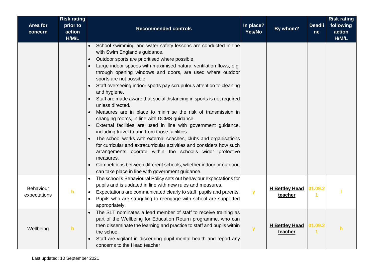| Area for<br>concern       | <b>Risk rating</b><br>prior to<br>action<br>H/M/L | <b>Recommended controls</b>                                                                                                                                                                                                                                                                                                                                                                                                                                                                                                                                                                                                                                                                                                                                                                                                                                                                                                                                                                                                                                                                          | In place?<br>Yes/No | By whom?                         | <b>Deadli</b><br>ne | <b>Risk rating</b><br>following<br>action<br>H/M/L |
|---------------------------|---------------------------------------------------|------------------------------------------------------------------------------------------------------------------------------------------------------------------------------------------------------------------------------------------------------------------------------------------------------------------------------------------------------------------------------------------------------------------------------------------------------------------------------------------------------------------------------------------------------------------------------------------------------------------------------------------------------------------------------------------------------------------------------------------------------------------------------------------------------------------------------------------------------------------------------------------------------------------------------------------------------------------------------------------------------------------------------------------------------------------------------------------------------|---------------------|----------------------------------|---------------------|----------------------------------------------------|
|                           |                                                   | School swimming and water safety lessons are conducted in line<br>with Swim England's guidance.<br>Outdoor sports are prioritised where possible.<br>Large indoor spaces with maximised natural ventilation flows, e.g.<br>through opening windows and doors, are used where outdoor<br>sports are not possible.<br>Staff overseeing indoor sports pay scrupulous attention to cleaning<br>and hygiene.<br>Staff are made aware that social distancing in sports is not required<br>$\bullet$<br>unless directed.<br>Measures are in place to minimise the risk of transmission in<br>changing rooms, in line with DCMS guidance.<br>External facilities are used in line with government guidance,<br>including travel to and from those facilities.<br>The school works with external coaches, clubs and organisations<br>for curricular and extracurricular activities and considers how such<br>arrangements operate within the school's wider protective<br>measures.<br>Competitions between different schools, whether indoor or outdoor,<br>can take place in line with government guidance. |                     |                                  |                     |                                                    |
| Behaviour<br>expectations | h                                                 | The school's Behavioural Policy sets out behaviour expectations for<br>pupils and is updated in line with new rules and measures.<br>Expectations are communicated clearly to staff, pupils and parents.<br>Pupils who are struggling to reengage with school are supported<br>appropriately.                                                                                                                                                                                                                                                                                                                                                                                                                                                                                                                                                                                                                                                                                                                                                                                                        | $\mathbf{y}$        | <b>H</b> Bettley Head<br>teacher | 01.09.2             |                                                    |
| Wellbeing                 | h                                                 | The SLT nominates a lead member of staff to receive training as<br>$\bullet$<br>part of the Wellbeing for Education Return programme, who can<br>then disseminate the learning and practice to staff and pupils within<br>the school.<br>Staff are vigilant in discerning pupil mental health and report any<br>concerns to the Head teacher                                                                                                                                                                                                                                                                                                                                                                                                                                                                                                                                                                                                                                                                                                                                                         | $\mathbf{y}$        | <b>H</b> Bettley Head<br>teacher | 01.09.2             | $\mathsf{h}$                                       |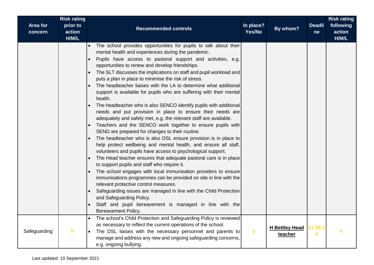| Area for     | <b>Risk rating</b><br>prior to | <b>Recommended controls</b>                                                                                                                                                                                                                                                                                                                                                                                                                                                                                                                                                                                                                                                                                                                                                                                                                                                                                                                                                                                                                                                                                                                                                                                                                                                                                                                                                                                                                                                                                                                                                                                       | In place?    | By whom?                         | <b>Deadli</b> | <b>Risk rating</b><br>following |
|--------------|--------------------------------|-------------------------------------------------------------------------------------------------------------------------------------------------------------------------------------------------------------------------------------------------------------------------------------------------------------------------------------------------------------------------------------------------------------------------------------------------------------------------------------------------------------------------------------------------------------------------------------------------------------------------------------------------------------------------------------------------------------------------------------------------------------------------------------------------------------------------------------------------------------------------------------------------------------------------------------------------------------------------------------------------------------------------------------------------------------------------------------------------------------------------------------------------------------------------------------------------------------------------------------------------------------------------------------------------------------------------------------------------------------------------------------------------------------------------------------------------------------------------------------------------------------------------------------------------------------------------------------------------------------------|--------------|----------------------------------|---------------|---------------------------------|
| concern      | action<br>H/M/L                |                                                                                                                                                                                                                                                                                                                                                                                                                                                                                                                                                                                                                                                                                                                                                                                                                                                                                                                                                                                                                                                                                                                                                                                                                                                                                                                                                                                                                                                                                                                                                                                                                   | Yes/No       |                                  | ne            | action<br>H/M/L                 |
|              |                                | The school provides opportunities for pupils to talk about their<br>$\bullet$<br>mental health and experiences during the pandemic.<br>Pupils have access to pastoral support and activities, e.g.<br>$\bullet$<br>opportunities to renew and develop friendships.<br>The SLT discusses the implications on staff and pupil workload and<br>$\bullet$<br>puts a plan in place to minimise the risk of stress.<br>The headteacher liaises with the LA to determine what additional<br>support is available for pupils who are suffering with their mental<br>health.<br>The headteacher who is also SENCO identify pupils with additional<br>needs and put provision in place to ensure their needs are<br>adequately and safely met, e.g. the relevant staff are available.<br>Teachers and the SENCO work together to ensure pupils with<br>SEND are prepared for changes to their routine.<br>The headteacher who is also DSL ensure provision is in place to<br>help protect wellbeing and mental health, and ensure all staff,<br>volunteers and pupils have access to psychological support.<br>The Head teacher ensures that adequate pastoral care is in place<br>$\bullet$<br>to support pupils and staff who require it.<br>The school engages with local immunisation providers to ensure<br>$\bullet$<br>immunisations programmes can be provided on site in line with the<br>relevant protective control measures.<br>Safeguarding issues are managed in line with the Child Protection<br>and Safeguarding Policy.<br>Staff and pupil bereavement is managed in line with the<br>Bereavement Policy. |              |                                  |               |                                 |
| Safeguarding | h.                             | The school's Child Protection and Safeguarding Policy is reviewed<br>as necessary to reflect the current operations of the school.<br>The DSL liaises with the necessary personnel and parents to<br>manage and address any new and ongoing safeguarding concerns,<br>e.g. ongoing bullying.                                                                                                                                                                                                                                                                                                                                                                                                                                                                                                                                                                                                                                                                                                                                                                                                                                                                                                                                                                                                                                                                                                                                                                                                                                                                                                                      | $\mathbf{y}$ | <b>H</b> Bettley Head<br>teacher | 01.09.2       | h                               |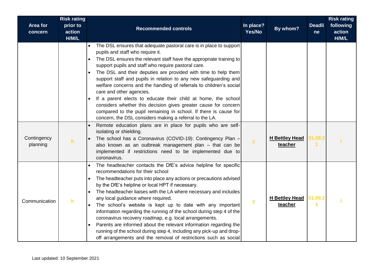| <b>Area for</b><br>concern | <b>Risk rating</b><br>prior to<br>action<br>H/M/L | <b>Recommended controls</b>                                                                                                                                                                                                                                                                                                                                                                                                                                                                                                                                                                                                                                                                                                                             | In place?<br>Yes/No | By whom?                         | <b>Deadli</b><br>ne | <b>Risk rating</b><br>following<br>action<br>H/M/L |
|----------------------------|---------------------------------------------------|---------------------------------------------------------------------------------------------------------------------------------------------------------------------------------------------------------------------------------------------------------------------------------------------------------------------------------------------------------------------------------------------------------------------------------------------------------------------------------------------------------------------------------------------------------------------------------------------------------------------------------------------------------------------------------------------------------------------------------------------------------|---------------------|----------------------------------|---------------------|----------------------------------------------------|
|                            |                                                   | The DSL ensures that adequate pastoral care is in place to support<br>pupils and staff who require it.<br>The DSL ensures the relevant staff have the appropriate training to<br>support pupils and staff who require pastoral care.<br>The DSL and their deputies are provided with time to help them<br>support staff and pupils in relation to any new safeguarding and<br>welfare concerns and the handling of referrals to children's social<br>care and other agencies.<br>If a parent elects to educate their child at home, the school<br>considers whether this decision gives greater cause for concern<br>compared to the pupil remaining in school. If there is cause for<br>concern, the DSL considers making a referral to the LA.        |                     |                                  |                     |                                                    |
| Contingency<br>planning    | h                                                 | Remote education plans are in place for pupils who are self-<br>isolating or shielding.<br>The school has a Coronavirus (COVID-19): Contingency Plan -<br>also known as an outbreak management plan - that can be<br>implemented if restrictions need to be implemented due to<br>coronavirus.                                                                                                                                                                                                                                                                                                                                                                                                                                                          | y                   | <b>H Bettley Head</b><br>teacher | 01.09.2             |                                                    |
| Communication              | h                                                 | The headteacher contacts the DfE's advice helpline for specific<br>recommendations for their school<br>The headteacher puts into place any actions or precautions advised<br>by the DfE's helpline or local HPT if necessary.<br>The headteacher liaises with the LA where necessary and includes<br>any local guidance where required.<br>The school's website is kept up to date with any important<br>information regarding the running of the school during step 4 of the<br>coronavirus recovery roadmap, e.g. local arrangements.<br>Parents are informed about the relevant information regarding the<br>running of the school during step 4, including any pick-up and drop-<br>off arrangements and the removal of restrictions such as social | $\mathbf y$         | <b>H Bettley Head</b><br>teacher | 01.09.2             |                                                    |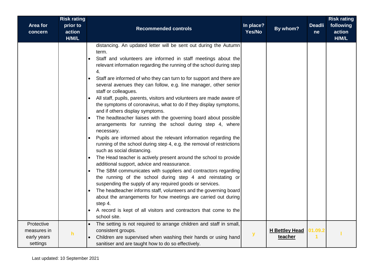| <b>Area for</b>                                      | <b>Risk rating</b><br>prior to |                                                                                                                                                                                                                                                                                                                                                                                                                                                                                                                                                                                                                                                                                                                                                                                                                                                                                                                                                                                                                                                                                                                                                                                                                                                                                                                                                                                                                                                             | In place? |                                  | <b>Deadli</b> | <b>Risk rating</b><br>following |
|------------------------------------------------------|--------------------------------|-------------------------------------------------------------------------------------------------------------------------------------------------------------------------------------------------------------------------------------------------------------------------------------------------------------------------------------------------------------------------------------------------------------------------------------------------------------------------------------------------------------------------------------------------------------------------------------------------------------------------------------------------------------------------------------------------------------------------------------------------------------------------------------------------------------------------------------------------------------------------------------------------------------------------------------------------------------------------------------------------------------------------------------------------------------------------------------------------------------------------------------------------------------------------------------------------------------------------------------------------------------------------------------------------------------------------------------------------------------------------------------------------------------------------------------------------------------|-----------|----------------------------------|---------------|---------------------------------|
| concern                                              | action<br>H/M/L                | <b>Recommended controls</b>                                                                                                                                                                                                                                                                                                                                                                                                                                                                                                                                                                                                                                                                                                                                                                                                                                                                                                                                                                                                                                                                                                                                                                                                                                                                                                                                                                                                                                 | Yes/No    | By whom?                         | <sub>ne</sub> | action<br>H/M/L                 |
|                                                      |                                | distancing. An updated letter will be sent out during the Autumn<br>term.<br>Staff and volunteers are informed in staff meetings about the<br>relevant information regarding the running of the school during step<br>4.<br>Staff are informed of who they can turn to for support and there are<br>several avenues they can follow, e.g. line manager, other senior<br>staff or colleagues.<br>All staff, pupils, parents, visitors and volunteers are made aware of<br>the symptoms of coronavirus, what to do if they display symptoms,<br>and if others display symptoms.<br>The headteacher liaises with the governing board about possible<br>arrangements for running the school during step 4, where<br>necessary.<br>Pupils are informed about the relevant information regarding the<br>running of the school during step 4, e.g. the removal of restrictions<br>such as social distancing.<br>The Head teacher is actively present around the school to provide<br>additional support, advice and reassurance.<br>The SBM communicates with suppliers and contractors regarding<br>the running of the school during step 4 and reinstating or<br>suspending the supply of any required goods or services.<br>The headteacher informs staff, volunteers and the governing board<br>about the arrangements for how meetings are carried out during<br>step 4.<br>A record is kept of all visitors and contractors that come to the<br>school site. |           |                                  |               |                                 |
| Protective<br>measures in<br>early years<br>settings | $\mathsf{h}$                   | The setting is not required to arrange children and staff in small,<br>consistent groups.<br>Children are supervised when washing their hands or using hand<br>sanitiser and are taught how to do so effectively.                                                                                                                                                                                                                                                                                                                                                                                                                                                                                                                                                                                                                                                                                                                                                                                                                                                                                                                                                                                                                                                                                                                                                                                                                                           | y         | <b>H</b> Bettley Head<br>teacher | 01.09.2<br>1  |                                 |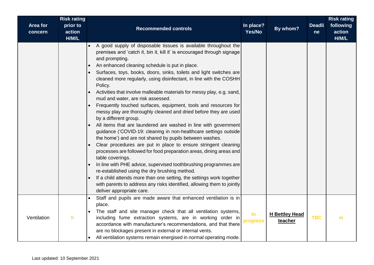| Area for<br>concern | <b>Risk rating</b><br>prior to<br>action<br>H/M/L | <b>Recommended controls</b>                                                                                                                                                                                                                                                                                                                                                                                                                                                                                                                                                                                                                                                                                                                                                                                                                                                                                                                                                                                                                                                                                                                                                                                                                                                                                                          | In place?<br>Yes/No | By whom?                         | <b>Deadli</b><br>ne | <b>Risk rating</b><br>following<br>action<br>H/M/L |
|---------------------|---------------------------------------------------|--------------------------------------------------------------------------------------------------------------------------------------------------------------------------------------------------------------------------------------------------------------------------------------------------------------------------------------------------------------------------------------------------------------------------------------------------------------------------------------------------------------------------------------------------------------------------------------------------------------------------------------------------------------------------------------------------------------------------------------------------------------------------------------------------------------------------------------------------------------------------------------------------------------------------------------------------------------------------------------------------------------------------------------------------------------------------------------------------------------------------------------------------------------------------------------------------------------------------------------------------------------------------------------------------------------------------------------|---------------------|----------------------------------|---------------------|----------------------------------------------------|
|                     |                                                   | A good supply of disposable tissues is available throughout the<br>premises and 'catch it, bin it, kill it' is encouraged through signage<br>and prompting.<br>An enhanced cleaning schedule is put in place.<br>Surfaces, toys, books, doors, sinks, toilets and light switches are<br>cleaned more regularly, using disinfectant, in line with the COSHH<br>Policy.<br>Activities that involve malleable materials for messy play, e.g. sand,<br>mud and water, are risk assessed.<br>Frequently touched surfaces, equipment, tools and resources for<br>messy play are thoroughly cleaned and dried before they are used<br>by a different group.<br>All items that are laundered are washed in line with government<br>$\bullet$<br>guidance ('COVID-19: cleaning in non-healthcare settings outside<br>the home') and are not shared by pupils between washes.<br>Clear procedures are put in place to ensure stringent cleaning<br>processes are followed for food preparation areas, dining areas and<br>table coverings.<br>In line with PHE advice, supervised toothbrushing programmes are<br>re-established using the dry brushing method.<br>If a child attends more than one setting, the settings work together<br>with parents to address any risks identified, allowing them to jointly<br>deliver appropriate care. |                     |                                  |                     |                                                    |
| Ventilation         | h                                                 | Staff and pupils are made aware that enhanced ventilation is in<br>$\bullet$<br>place.<br>The staff and site manager check that all ventilation systems,<br>including fume extraction systems, are in working order in<br>accordance with manufacturer's recommendations, and that there<br>are no blockages present in external or internal vents.<br>All ventilation systems remain energised in normal operating mode.                                                                                                                                                                                                                                                                                                                                                                                                                                                                                                                                                                                                                                                                                                                                                                                                                                                                                                            | $\ln$<br>progress   | <b>H</b> Bettley Head<br>teacher | <b>TBC</b>          | m                                                  |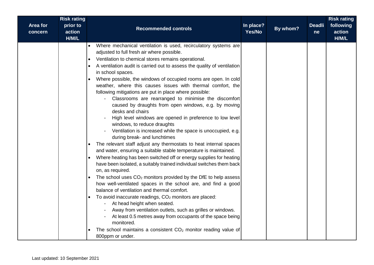|                            | <b>Risk rating</b>          |                                                                                                                                                                                                                                                                                                                                                                                                                                                                                                                                                                                                                                                                                                                                                                                                                                                                                                                                                                                                                                                                                                                                                                                                                                                                                                                                                                                                                                                                                                                                                                                                                                                     |                     |          |                     | <b>Risk rating</b>           |
|----------------------------|-----------------------------|-----------------------------------------------------------------------------------------------------------------------------------------------------------------------------------------------------------------------------------------------------------------------------------------------------------------------------------------------------------------------------------------------------------------------------------------------------------------------------------------------------------------------------------------------------------------------------------------------------------------------------------------------------------------------------------------------------------------------------------------------------------------------------------------------------------------------------------------------------------------------------------------------------------------------------------------------------------------------------------------------------------------------------------------------------------------------------------------------------------------------------------------------------------------------------------------------------------------------------------------------------------------------------------------------------------------------------------------------------------------------------------------------------------------------------------------------------------------------------------------------------------------------------------------------------------------------------------------------------------------------------------------------------|---------------------|----------|---------------------|------------------------------|
| <b>Area for</b><br>concern | prior to<br>action<br>H/M/L | <b>Recommended controls</b>                                                                                                                                                                                                                                                                                                                                                                                                                                                                                                                                                                                                                                                                                                                                                                                                                                                                                                                                                                                                                                                                                                                                                                                                                                                                                                                                                                                                                                                                                                                                                                                                                         | In place?<br>Yes/No | By whom? | <b>Deadli</b><br>ne | following<br>action<br>H/M/L |
|                            |                             | Where mechanical ventilation is used, recirculatory systems are<br>adjusted to full fresh air where possible.<br>Ventilation to chemical stores remains operational.<br>$\bullet$<br>A ventilation audit is carried out to assess the quality of ventilation<br>in school spaces.<br>Where possible, the windows of occupied rooms are open. In cold<br>weather, where this causes issues with thermal comfort, the<br>following mitigations are put in place where possible:<br>Classrooms are rearranged to minimise the discomfort<br>caused by draughts from open windows, e.g. by moving<br>desks and chairs<br>High level windows are opened in preference to low level<br>windows, to reduce draughts<br>Ventilation is increased while the space is unoccupied, e.g.<br>during break- and lunchtimes<br>The relevant staff adjust any thermostats to heat internal spaces<br>and water, ensuring a suitable stable temperature is maintained.<br>Where heating has been switched off or energy supplies for heating<br>have been isolated, a suitably trained individual switches them back<br>on, as required.<br>The school uses $CO2$ monitors provided by the DfE to help assess<br>how well-ventilated spaces in the school are, and find a good<br>balance of ventilation and thermal comfort.<br>To avoid inaccurate readings, CO <sub>2</sub> monitors are placed:<br>At head height when seated.<br>Away from ventilation outlets, such as grilles or windows.<br>At least 0.5 metres away from occupants of the space being<br>monitored.<br>The school maintains a consistent $CO2$ monitor reading value of<br>800ppm or under. |                     |          |                     |                              |